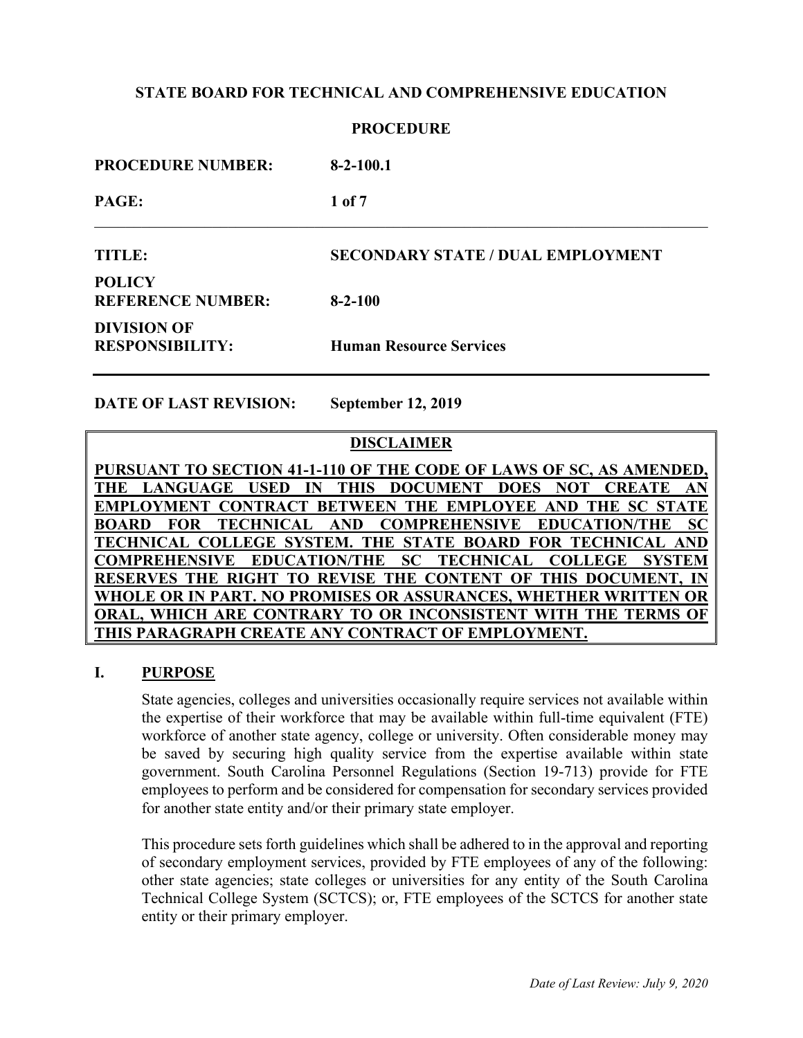# **PROCEDURE PROCEDURE NUMBER: 8-2-100.1 PAGE: 1 of 7** \_\_\_\_\_\_\_\_\_\_\_\_\_\_\_\_\_\_\_\_\_\_\_\_\_\_\_\_\_\_\_\_\_\_\_\_\_\_\_\_\_\_\_\_\_\_\_\_\_\_\_\_\_\_\_\_\_\_\_\_\_\_\_\_\_\_\_\_\_\_\_\_\_\_\_\_\_\_ **TITLE: SECONDARY STATE / DUAL EMPLOYMENT POLICY REFERENCE NUMBER: 8-2-100 DIVISION OF RESPONSIBILITY: Human Resource Services**

**DATE OF LAST REVISION: September 12, 2019**

# **DISCLAIMER**

**PURSUANT TO SECTION 41-1-110 OF THE CODE OF LAWS OF SC, AS AMENDED,**  THE LANGUAGE USED IN THIS DOCUMENT DOES NOT CREATE **EMPLOYMENT CONTRACT BETWEEN THE EMPLOYEE AND THE SC STATE BOARD FOR TECHNICAL AND COMPREHENSIVE EDUCATION/THE SC TECHNICAL COLLEGE SYSTEM. THE STATE BOARD FOR TECHNICAL AND COMPREHENSIVE EDUCATION/THE SC TECHNICAL COLLEGE SYSTEM RESERVES THE RIGHT TO REVISE THE CONTENT OF THIS DOCUMENT, IN WHOLE OR IN PART. NO PROMISES OR ASSURANCES, WHETHER WRITTEN OR ORAL, WHICH ARE CONTRARY TO OR INCONSISTENT WITH THE TERMS OF THIS PARAGRAPH CREATE ANY CONTRACT OF EMPLOYMENT.** 

# **I. PURPOSE**

State agencies, colleges and universities occasionally require services not available within the expertise of their workforce that may be available within full-time equivalent (FTE) workforce of another state agency, college or university. Often considerable money may be saved by securing high quality service from the expertise available within state government. South Carolina Personnel Regulations (Section 19-713) provide for FTE employees to perform and be considered for compensation for secondary services provided for another state entity and/or their primary state employer.

This procedure sets forth guidelines which shall be adhered to in the approval and reporting of secondary employment services, provided by FTE employees of any of the following: other state agencies; state colleges or universities for any entity of the South Carolina Technical College System (SCTCS); or, FTE employees of the SCTCS for another state entity or their primary employer.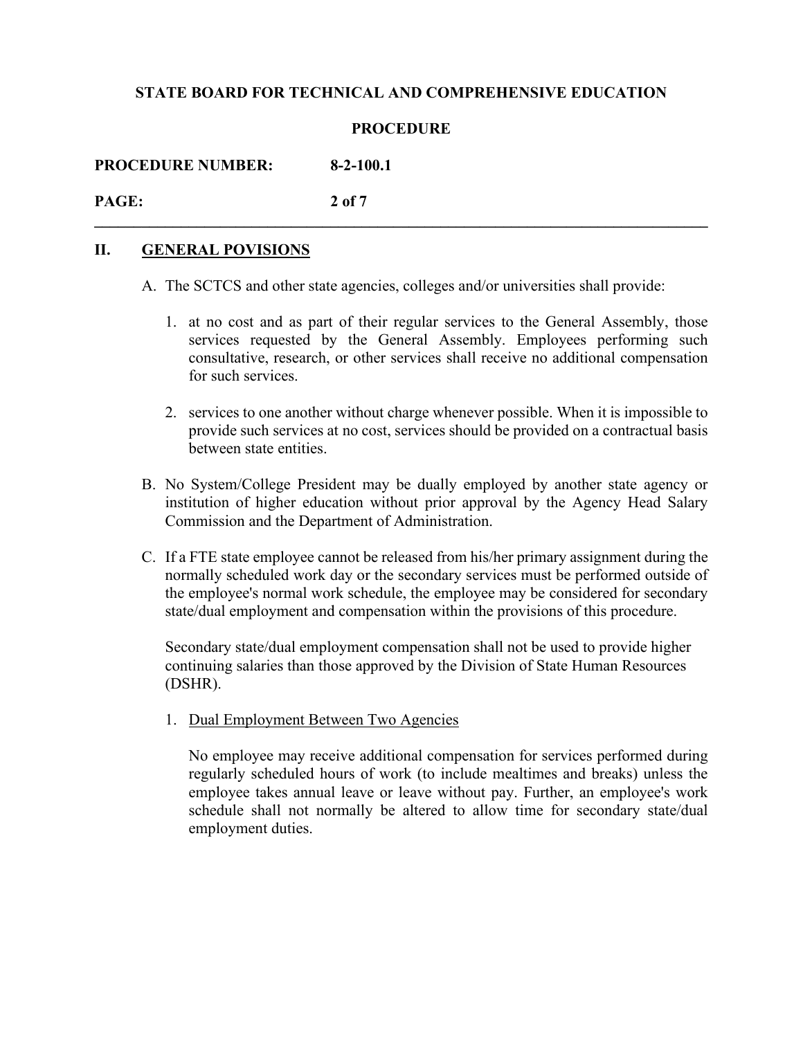## **PROCEDURE**

**PROCEDURE NUMBER: 8-2-100.1**

**PAGE: 2 of 7**

# **II. GENERAL POVISIONS**

A. The SCTCS and other state agencies, colleges and/or universities shall provide:

**\_\_\_\_\_\_\_\_\_\_\_\_\_\_\_\_\_\_\_\_\_\_\_\_\_\_\_\_\_\_\_\_\_\_\_\_\_\_\_\_\_\_\_\_\_\_\_\_\_\_\_\_\_\_\_\_\_\_\_\_\_\_\_\_\_\_\_\_\_\_\_\_\_\_\_\_\_\_**

- 1. at no cost and as part of their regular services to the General Assembly, those services requested by the General Assembly. Employees performing such consultative, research, or other services shall receive no additional compensation for such services.
- 2. services to one another without charge whenever possible. When it is impossible to provide such services at no cost, services should be provided on a contractual basis between state entities.
- B. No System/College President may be dually employed by another state agency or institution of higher education without prior approval by the Agency Head Salary Commission and the Department of Administration.
- C. If a FTE state employee cannot be released from his/her primary assignment during the normally scheduled work day or the secondary services must be performed outside of the employee's normal work schedule, the employee may be considered for secondary state/dual employment and compensation within the provisions of this procedure.

Secondary state/dual employment compensation shall not be used to provide higher continuing salaries than those approved by the Division of State Human Resources (DSHR).

1. Dual Employment Between Two Agencies

No employee may receive additional compensation for services performed during regularly scheduled hours of work (to include mealtimes and breaks) unless the employee takes annual leave or leave without pay. Further, an employee's work schedule shall not normally be altered to allow time for secondary state/dual employment duties.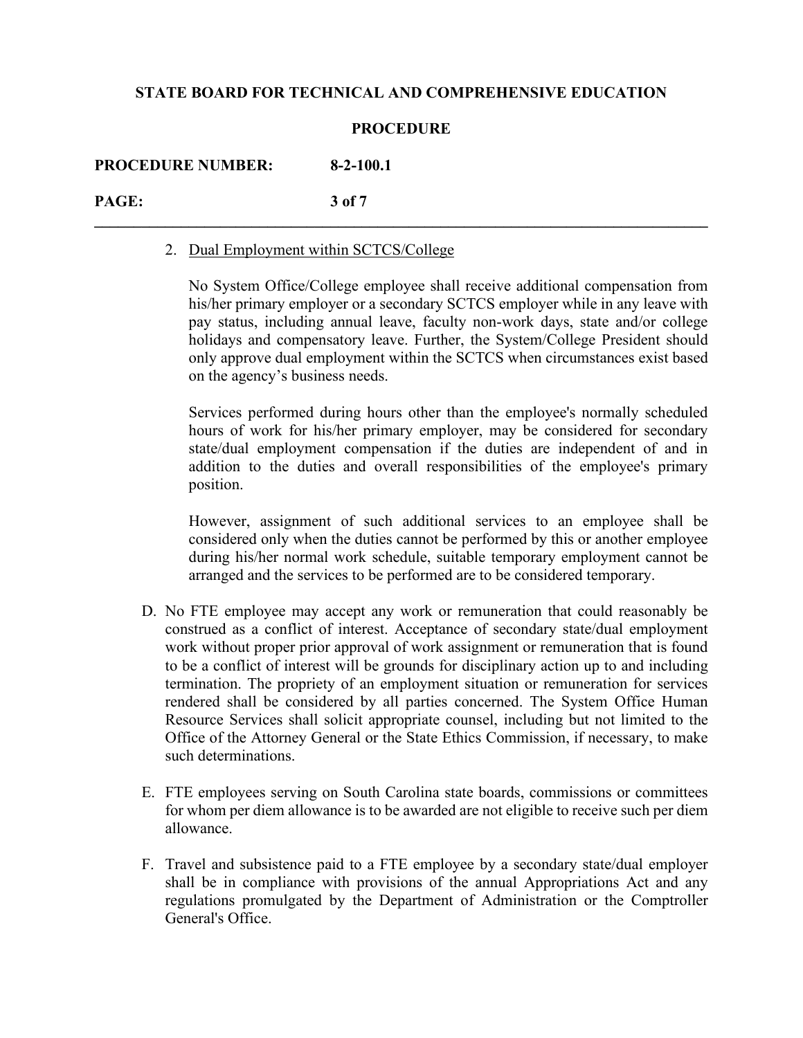#### **PROCEDURE**

**\_\_\_\_\_\_\_\_\_\_\_\_\_\_\_\_\_\_\_\_\_\_\_\_\_\_\_\_\_\_\_\_\_\_\_\_\_\_\_\_\_\_\_\_\_\_\_\_\_\_\_\_\_\_\_\_\_\_\_\_\_\_\_\_\_\_\_\_\_\_\_\_\_\_\_\_\_\_**

**PROCEDURE NUMBER: 8-2-100.1**

**PAGE: 3 of 7**

#### 2. Dual Employment within SCTCS/College

No System Office/College employee shall receive additional compensation from his/her primary employer or a secondary SCTCS employer while in any leave with pay status, including annual leave, faculty non-work days, state and/or college holidays and compensatory leave. Further, the System/College President should only approve dual employment within the SCTCS when circumstances exist based on the agency's business needs.

Services performed during hours other than the employee's normally scheduled hours of work for his/her primary employer, may be considered for secondary state/dual employment compensation if the duties are independent of and in addition to the duties and overall responsibilities of the employee's primary position.

However, assignment of such additional services to an employee shall be considered only when the duties cannot be performed by this or another employee during his/her normal work schedule, suitable temporary employment cannot be arranged and the services to be performed are to be considered temporary.

- D. No FTE employee may accept any work or remuneration that could reasonably be construed as a conflict of interest. Acceptance of secondary state/dual employment work without proper prior approval of work assignment or remuneration that is found to be a conflict of interest will be grounds for disciplinary action up to and including termination. The propriety of an employment situation or remuneration for services rendered shall be considered by all parties concerned. The System Office Human Resource Services shall solicit appropriate counsel, including but not limited to the Office of the Attorney General or the State Ethics Commission, if necessary, to make such determinations.
- E. FTE employees serving on South Carolina state boards, commissions or committees for whom per diem allowance is to be awarded are not eligible to receive such per diem allowance.
- F. Travel and subsistence paid to a FTE employee by a secondary state/dual employer shall be in compliance with provisions of the annual Appropriations Act and any regulations promulgated by the Department of Administration or the Comptroller General's Office.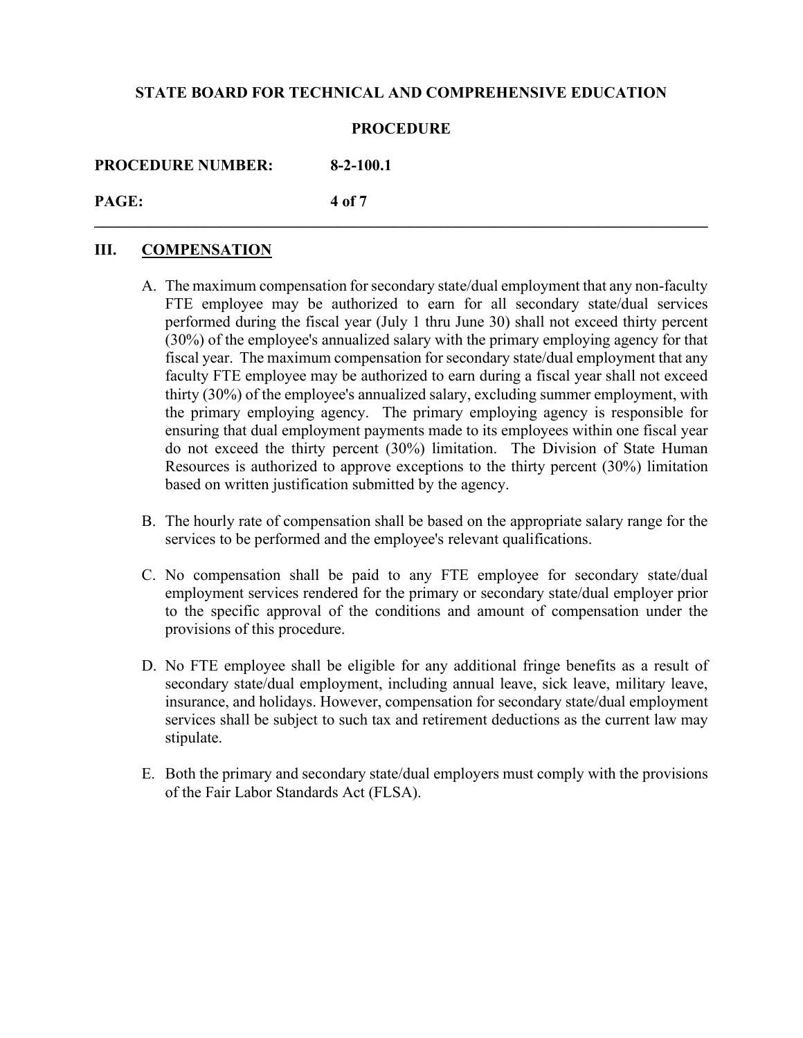#### **PROCEDURE**

**\_\_\_\_\_\_\_\_\_\_\_\_\_\_\_\_\_\_\_\_\_\_\_\_\_\_\_\_\_\_\_\_\_\_\_\_\_\_\_\_\_\_\_\_\_\_\_\_\_\_\_\_\_\_\_\_\_\_\_\_\_\_\_\_\_\_\_\_\_\_\_\_\_\_\_\_\_\_**

**PROCEDURE NUMBER: 8-2-100.1**

**PAGE: 4 of 7**

#### **III. COMPENSATION**

- A. The maximum compensation for secondary state/dual employment that any non-faculty FTE employee may be authorized to earn for all secondary state/dual services performed during the fiscal year (July 1 thru June 30) shall not exceed thirty percent (30%) of the employee's annualized salary with the primary employing agency for that fiscal year. The maximum compensation for secondary state/dual employment that any faculty FTE employee may be authorized to earn during a fiscal year shall not exceed thirty (30%) of the employee's annualized salary, excluding summer employment, with the primary employing agency. The primary employing agency is responsible for ensuring that dual employment payments made to its employees within one fiscal year do not exceed the thirty percent (30%) limitation. The Division of State Human Resources is authorized to approve exceptions to the thirty percent (30%) limitation based on written justification submitted by the agency.
- B. The hourly rate of compensation shall be based on the appropriate salary range for the services to be performed and the employee's relevant qualifications.
- C. No compensation shall be paid to any FTE employee for secondary state/dual employment services rendered for the primary or secondary state/dual employer prior to the specific approval of the conditions and amount of compensation under the provisions of this procedure.
- D. No FTE employee shall be eligible for any additional fringe benefits as a result of secondary state/dual employment, including annual leave, sick leave, military leave, insurance, and holidays. However, compensation for secondary state/dual employment services shall be subject to such tax and retirement deductions as the current law may stipulate.
- E. Both the primary and secondary state/dual employers must comply with the provisions of the Fair Labor Standards Act (FLSA).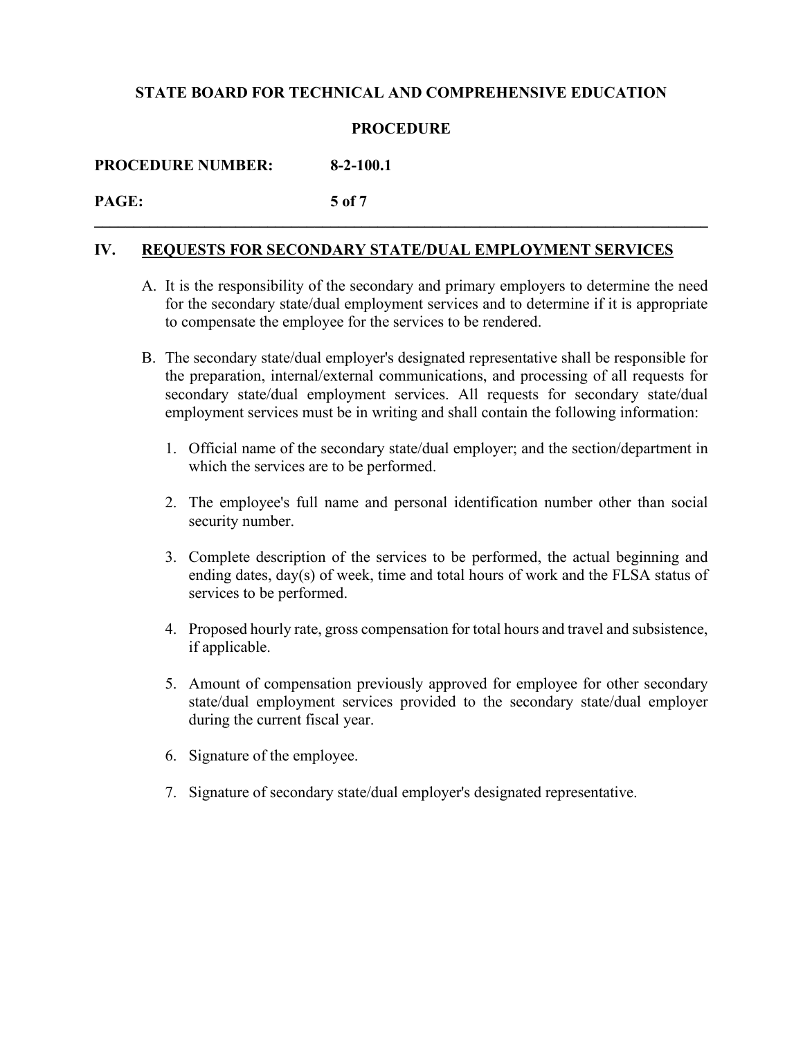## **PROCEDURE**

**\_\_\_\_\_\_\_\_\_\_\_\_\_\_\_\_\_\_\_\_\_\_\_\_\_\_\_\_\_\_\_\_\_\_\_\_\_\_\_\_\_\_\_\_\_\_\_\_\_\_\_\_\_\_\_\_\_\_\_\_\_\_\_\_\_\_\_\_\_\_\_\_\_\_\_\_\_\_**

**PROCEDURE NUMBER: 8-2-100.1**

**PAGE: 5 of 7**

# **IV. REQUESTS FOR SECONDARY STATE/DUAL EMPLOYMENT SERVICES**

- A. It is the responsibility of the secondary and primary employers to determine the need for the secondary state/dual employment services and to determine if it is appropriate to compensate the employee for the services to be rendered.
- B. The secondary state/dual employer's designated representative shall be responsible for the preparation, internal/external communications, and processing of all requests for secondary state/dual employment services. All requests for secondary state/dual employment services must be in writing and shall contain the following information:
	- 1. Official name of the secondary state/dual employer; and the section/department in which the services are to be performed.
	- 2. The employee's full name and personal identification number other than social security number.
	- 3. Complete description of the services to be performed, the actual beginning and ending dates, day(s) of week, time and total hours of work and the FLSA status of services to be performed.
	- 4. Proposed hourly rate, gross compensation for total hours and travel and subsistence, if applicable.
	- 5. Amount of compensation previously approved for employee for other secondary state/dual employment services provided to the secondary state/dual employer during the current fiscal year.
	- 6. Signature of the employee.
	- 7. Signature of secondary state/dual employer's designated representative.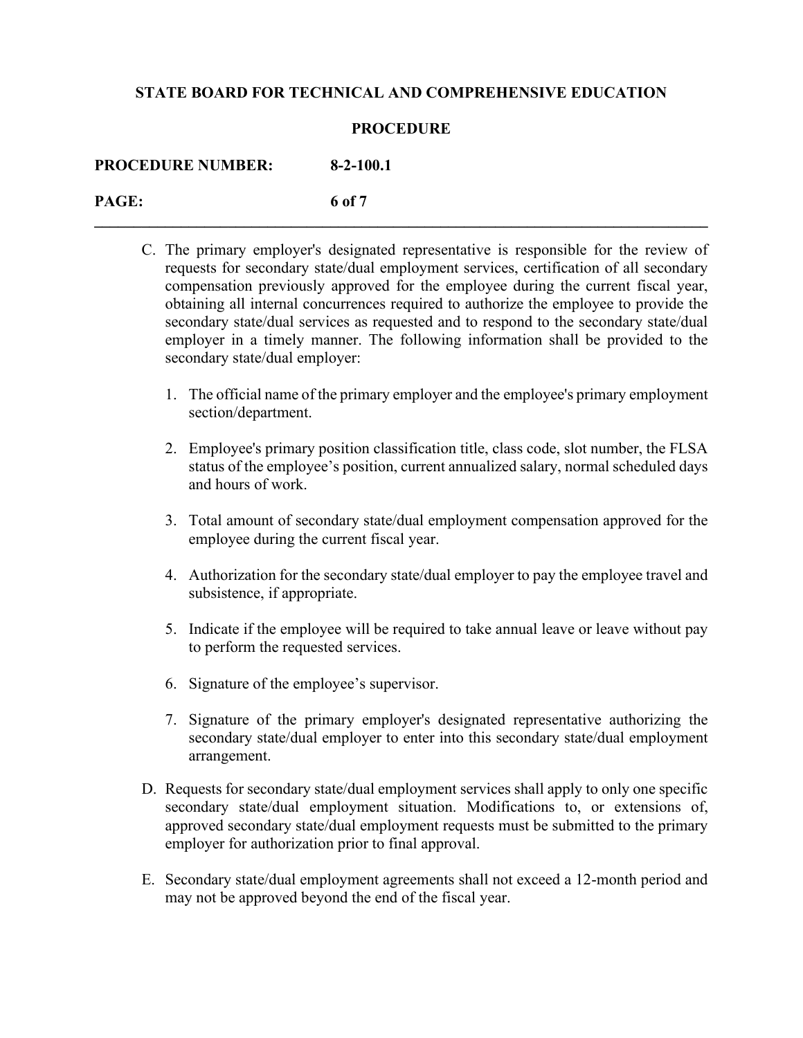#### **PROCEDURE**

**\_\_\_\_\_\_\_\_\_\_\_\_\_\_\_\_\_\_\_\_\_\_\_\_\_\_\_\_\_\_\_\_\_\_\_\_\_\_\_\_\_\_\_\_\_\_\_\_\_\_\_\_\_\_\_\_\_\_\_\_\_\_\_\_\_\_\_\_\_\_\_\_\_\_\_\_\_\_**

#### **PROCEDURE NUMBER: 8-2-100.1**

**PAGE: 6 of 7**

- C. The primary employer's designated representative is responsible for the review of requests for secondary state/dual employment services, certification of all secondary compensation previously approved for the employee during the current fiscal year, obtaining all internal concurrences required to authorize the employee to provide the secondary state/dual services as requested and to respond to the secondary state/dual employer in a timely manner. The following information shall be provided to the secondary state/dual employer:
	- 1. The official name of the primary employer and the employee's primary employment section/department.
	- 2. Employee's primary position classification title, class code, slot number, the FLSA status of the employee's position, current annualized salary, normal scheduled days and hours of work.
	- 3. Total amount of secondary state/dual employment compensation approved for the employee during the current fiscal year.
	- 4. Authorization for the secondary state/dual employer to pay the employee travel and subsistence, if appropriate.
	- 5. Indicate if the employee will be required to take annual leave or leave without pay to perform the requested services.
	- 6. Signature of the employee's supervisor.
	- 7. Signature of the primary employer's designated representative authorizing the secondary state/dual employer to enter into this secondary state/dual employment arrangement.
- D. Requests for secondary state/dual employment services shall apply to only one specific secondary state/dual employment situation. Modifications to, or extensions of, approved secondary state/dual employment requests must be submitted to the primary employer for authorization prior to final approval.
- E. Secondary state/dual employment agreements shall not exceed a 12-month period and may not be approved beyond the end of the fiscal year.